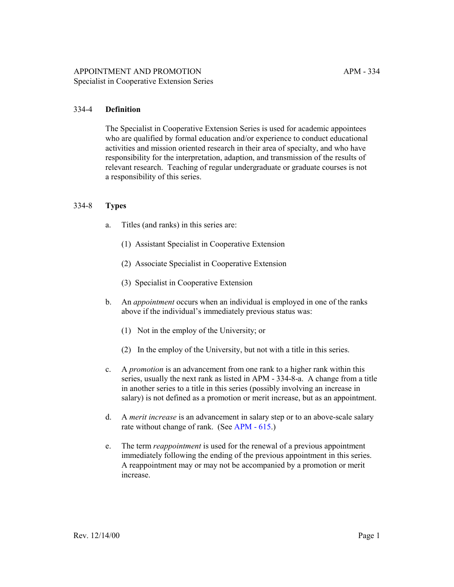## 334-4 **Definition**

The Specialist in Cooperative Extension Series is used for academic appointees who are qualified by formal education and/or experience to conduct educational activities and mission oriented research in their area of specialty, and who have responsibility for the interpretation, adaption, and transmission of the results of relevant research. Teaching of regular undergraduate or graduate courses is not a responsibility of this series.

#### 334-8 **Types**

- a. Titles (and ranks) in this series are:
	- (1) Assistant Specialist in Cooperative Extension
	- (2) Associate Specialist in Cooperative Extension
	- (3) Specialist in Cooperative Extension
- b. An *appointment* occurs when an individual is employed in one of the ranks above if the individual's immediately previous status was:
	- (1) Not in the employ of the University; or
	- (2) In the employ of the University, but not with a title in this series.
- c. A *promotion* is an advancement from one rank to a higher rank within this series, usually the next rank as listed in APM - 334-8-a. A change from a title in another series to a title in this series (possibly involving an increase in salary) is not defined as a promotion or merit increase, but as an appointment.
- d. A *merit increase* is an advancement in salary step or to an above-scale salary rate without change of rank. (See [APM - 615.](http://ucop.edu/academic-personnel-programs/_files/apm/apm-615.pdf))
- e. The term *reappointment* is used for the renewal of a previous appointment immediately following the ending of the previous appointment in this series. A reappointment may or may not be accompanied by a promotion or merit increase.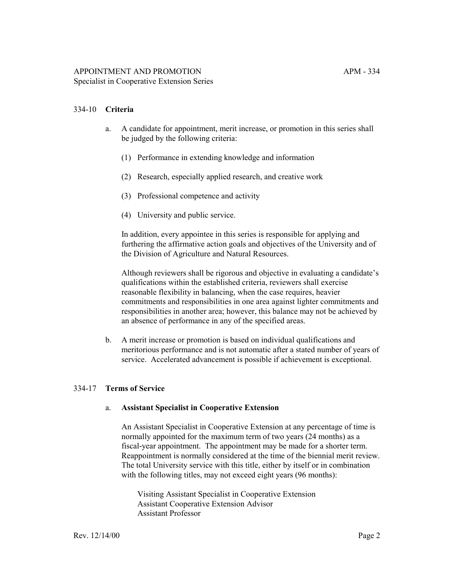- a. A candidate for appointment, merit increase, or promotion in this series shall be judged by the following criteria:
	- (1) Performance in extending knowledge and information
	- (2) Research, especially applied research, and creative work
	- (3) Professional competence and activity
	- (4) University and public service.

In addition, every appointee in this series is responsible for applying and furthering the affirmative action goals and objectives of the University and of the Division of Agriculture and Natural Resources.

Although reviewers shall be rigorous and objective in evaluating a candidate's qualifications within the established criteria, reviewers shall exercise reasonable flexibility in balancing, when the case requires, heavier commitments and responsibilities in one area against lighter commitments and responsibilities in another area; however, this balance may not be achieved by an absence of performance in any of the specified areas.

b. A merit increase or promotion is based on individual qualifications and meritorious performance and is not automatic after a stated number of years of service. Accelerated advancement is possible if achievement is exceptional.

#### 334-17 **Terms of Service**

#### a. **Assistant Specialist in Cooperative Extension**

An Assistant Specialist in Cooperative Extension at any percentage of time is normally appointed for the maximum term of two years (24 months) as a fiscal-year appointment. The appointment may be made for a shorter term. Reappointment is normally considered at the time of the biennial merit review. The total University service with this title, either by itself or in combination with the following titles, may not exceed eight years (96 months):

Visiting Assistant Specialist in Cooperative Extension Assistant Cooperative Extension Advisor Assistant Professor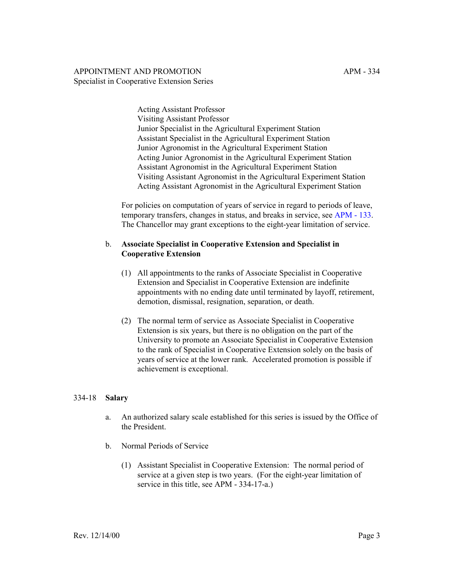Acting Assistant Professor Visiting Assistant Professor Junior Specialist in the Agricultural Experiment Station Assistant Specialist in the Agricultural Experiment Station Junior Agronomist in the Agricultural Experiment Station Acting Junior Agronomist in the Agricultural Experiment Station Assistant Agronomist in the Agricultural Experiment Station Visiting Assistant Agronomist in the Agricultural Experiment Station Acting Assistant Agronomist in the Agricultural Experiment Station

For policies on computation of years of service in regard to periods of leave, temporary transfers, changes in status, and breaks in service, see [APM - 133.](http://ucop.edu/academic-personnel-programs/_files/apm/apm-133.pdf) The Chancellor may grant exceptions to the eight-year limitation of service.

## b. **Associate Specialist in Cooperative Extension and Specialist in Cooperative Extension**

- (1) All appointments to the ranks of Associate Specialist in Cooperative Extension and Specialist in Cooperative Extension are indefinite appointments with no ending date until terminated by layoff, retirement, demotion, dismissal, resignation, separation, or death.
- (2) The normal term of service as Associate Specialist in Cooperative Extension is six years, but there is no obligation on the part of the University to promote an Associate Specialist in Cooperative Extension to the rank of Specialist in Cooperative Extension solely on the basis of years of service at the lower rank. Accelerated promotion is possible if achievement is exceptional.

#### 334-18 **Salary**

- a. An authorized salary scale established for this series is issued by the Office of the President.
- b. Normal Periods of Service
	- (1) Assistant Specialist in Cooperative Extension: The normal period of service at a given step is two years. (For the eight-year limitation of service in this title, see APM - 334-17-a.)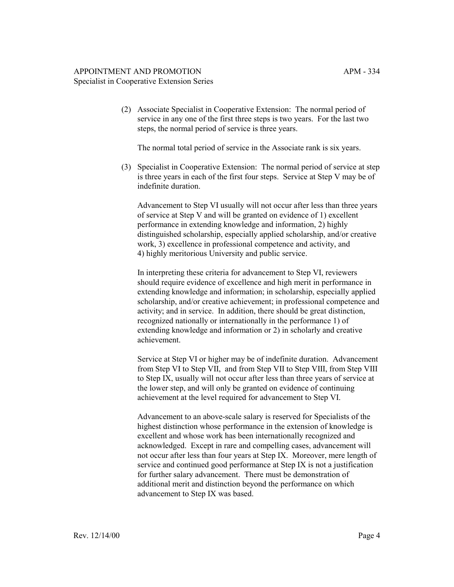(2) Associate Specialist in Cooperative Extension: The normal period of service in any one of the first three steps is two years. For the last two steps, the normal period of service is three years.

The normal total period of service in the Associate rank is six years.

(3) Specialist in Cooperative Extension: The normal period of service at step is three years in each of the first four steps. Service at Step V may be of indefinite duration.

Advancement to Step VI usually will not occur after less than three years of service at Step V and will be granted on evidence of 1) excellent performance in extending knowledge and information, 2) highly distinguished scholarship, especially applied scholarship, and/or creative work, 3) excellence in professional competence and activity, and 4) highly meritorious University and public service.

In interpreting these criteria for advancement to Step VI, reviewers should require evidence of excellence and high merit in performance in extending knowledge and information; in scholarship, especially applied scholarship, and/or creative achievement; in professional competence and activity; and in service. In addition, there should be great distinction, recognized nationally or internationally in the performance 1) of extending knowledge and information or 2) in scholarly and creative achievement.

Service at Step VI or higher may be of indefinite duration. Advancement from Step VI to Step VII, and from Step VII to Step VIII, from Step VIII to Step IX, usually will not occur after less than three years of service at the lower step, and will only be granted on evidence of continuing achievement at the level required for advancement to Step VI.

Advancement to an above-scale salary is reserved for Specialists of the highest distinction whose performance in the extension of knowledge is excellent and whose work has been internationally recognized and acknowledged. Except in rare and compelling cases, advancement will not occur after less than four years at Step IX. Moreover, mere length of service and continued good performance at Step IX is not a justification for further salary advancement. There must be demonstration of additional merit and distinction beyond the performance on which advancement to Step IX was based.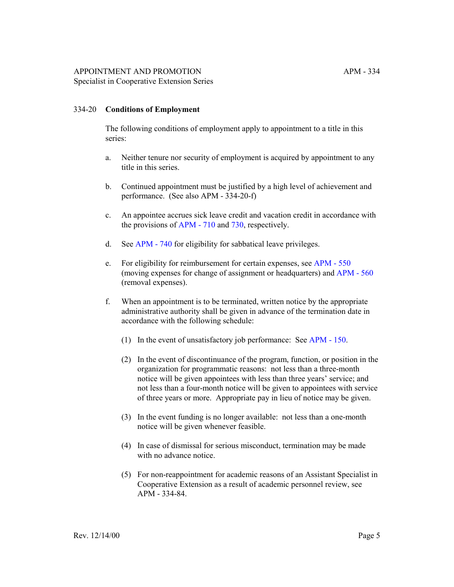#### 334-20 **Conditions of Employment**

The following conditions of employment apply to appointment to a title in this series:

- a. Neither tenure nor security of employment is acquired by appointment to any title in this series.
- b. Continued appointment must be justified by a high level of achievement and performance. (See also APM - 334-20-f)
- c. An appointee accrues sick leave credit and vacation credit in accordance with the provisions of [APM - 710](http://ucop.edu/academic-personnel-programs/_files/apm/apm-710.pdf) and [730,](http://ucop.edu/academic-personnel-programs/_files/apm/apm-730.pdf) respectively.
- d. See [APM 740](http://ucop.edu/academic-personnel-programs/_files/apm/apm-740.pdf) for eligibility for sabbatical leave privileges.
- e. For eligibility for reimbursement for certain expenses, see [APM 550](http://ucop.edu/academic-personnel-programs/_files/apm/apm-550.pdf) (moving expenses for change of assignment or headquarters) and [APM - 560](http://ucop.edu/academic-personnel-programs/_files/apm/apm-560.pdf) (removal expenses).
- f. When an appointment is to be terminated, written notice by the appropriate administrative authority shall be given in advance of the termination date in accordance with the following schedule:
	- (1) In the event of unsatisfactory job performance: See [APM 150.](http://ucop.edu/academic-personnel-programs/_files/apm/apm-150.pdf)
	- (2) In the event of discontinuance of the program, function, or position in the organization for programmatic reasons: not less than a three-month notice will be given appointees with less than three years' service; and not less than a four-month notice will be given to appointees with service of three years or more. Appropriate pay in lieu of notice may be given.
	- (3) In the event funding is no longer available: not less than a one-month notice will be given whenever feasible.
	- (4) In case of dismissal for serious misconduct, termination may be made with no advance notice.
	- (5) For non-reappointment for academic reasons of an Assistant Specialist in Cooperative Extension as a result of academic personnel review, see APM - 334-84.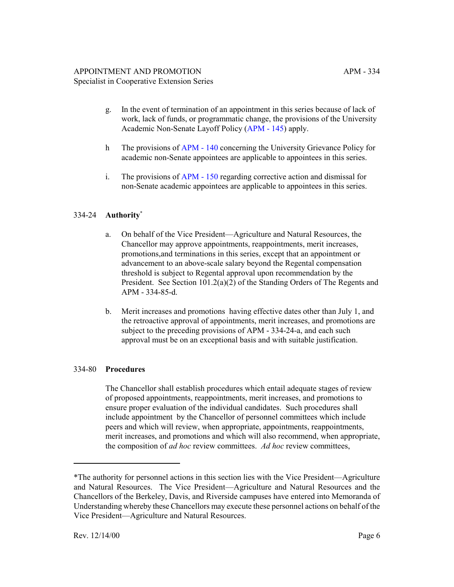- g. In the event of termination of an appointment in this series because of lack of work, lack of funds, or programmatic change, the provisions of the University Academic Non-Senate Layoff Policy [\(APM - 145\)](http://ucop.edu/academic-personnel-programs/_files/apm/apm-145.pdf) apply.
- h The provisions of [APM 140](http://ucop.edu/academic-personnel-programs/_files/apm/apm-140.pdf) concerning the University Grievance Policy for academic non-Senate appointees are applicable to appointees in this series.
- i. The provisions of [APM 150](http://ucop.edu/academic-personnel-programs/_files/apm/apm-150.pdf) regarding corrective action and dismissal for non-Senate academic appointees are applicable to appointees in this series.

# 334-24 **Authority**\*

- a. On behalf of the Vice President—Agriculture and Natural Resources, the Chancellor may approve appointments, reappointments, merit increases, promotions,and terminations in this series, except that an appointment or advancement to an above-scale salary beyond the Regental compensation threshold is subject to Regental approval upon recommendation by the President. See Section 101.2(a)(2) of the Standing Orders of The Regents and APM - 334-85-d.
- b. Merit increases and promotions having effective dates other than July 1, and the retroactive approval of appointments, merit increases, and promotions are subject to the preceding provisions of APM - 334-24-a, and each such approval must be on an exceptional basis and with suitable justification.

# 334-80 **Procedures**

The Chancellor shall establish procedures which entail adequate stages of review of proposed appointments, reappointments, merit increases, and promotions to ensure proper evaluation of the individual candidates. Such procedures shall include appointment by the Chancellor of personnel committees which include peers and which will review, when appropriate, appointments, reappointments, merit increases, and promotions and which will also recommend, when appropriate, the composition of *ad hoc* review committees. *Ad hoc* review committees,

<sup>\*</sup>The authority for personnel actions in this section lies with the Vice President—Agriculture and Natural Resources. The Vice President—Agriculture and Natural Resources and the Chancellors of the Berkeley, Davis, and Riverside campuses have entered into Memoranda of Understanding whereby these Chancellors may execute these personnel actions on behalf of the Vice President—Agriculture and Natural Resources.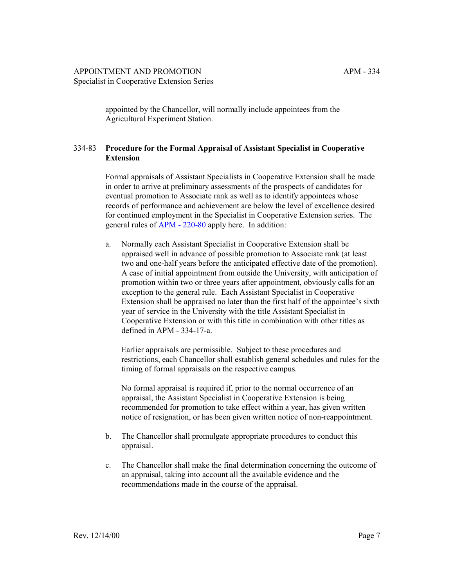appointed by the Chancellor, will normally include appointees from the Agricultural Experiment Station.

# 334-83 **Procedure for the Formal Appraisal of Assistant Specialist in Cooperative Extension**

Formal appraisals of Assistant Specialists in Cooperative Extension shall be made in order to arrive at preliminary assessments of the prospects of candidates for eventual promotion to Associate rank as well as to identify appointees whose records of performance and achievement are below the level of excellence desired for continued employment in the Specialist in Cooperative Extension series. The general rules of [APM - 220-80](http://ucop.edu/academic-personnel-programs/_files/apm/apm-220.pdf) apply here. In addition:

a. Normally each Assistant Specialist in Cooperative Extension shall be appraised well in advance of possible promotion to Associate rank (at least two and one-half years before the anticipated effective date of the promotion). A case of initial appointment from outside the University, with anticipation of promotion within two or three years after appointment, obviously calls for an exception to the general rule. Each Assistant Specialist in Cooperative Extension shall be appraised no later than the first half of the appointee's sixth year of service in the University with the title Assistant Specialist in Cooperative Extension or with this title in combination with other titles as defined in APM - 334-17-a.

Earlier appraisals are permissible. Subject to these procedures and restrictions, each Chancellor shall establish general schedules and rules for the timing of formal appraisals on the respective campus.

No formal appraisal is required if, prior to the normal occurrence of an appraisal, the Assistant Specialist in Cooperative Extension is being recommended for promotion to take effect within a year, has given written notice of resignation, or has been given written notice of non-reappointment.

- b. The Chancellor shall promulgate appropriate procedures to conduct this appraisal.
- c. The Chancellor shall make the final determination concerning the outcome of an appraisal, taking into account all the available evidence and the recommendations made in the course of the appraisal.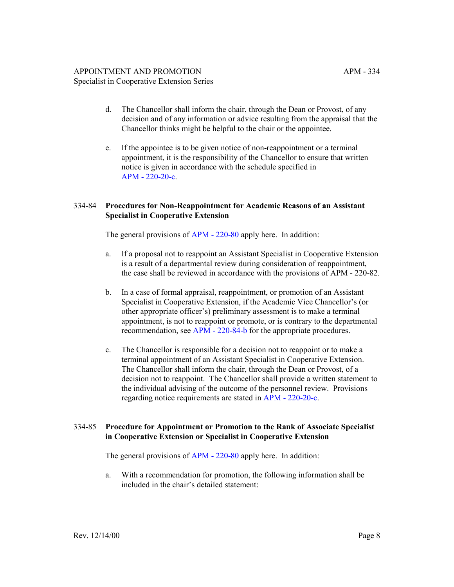- d. The Chancellor shall inform the chair, through the Dean or Provost, of any decision and of any information or advice resulting from the appraisal that the Chancellor thinks might be helpful to the chair or the appointee.
- e. If the appointee is to be given notice of non-reappointment or a terminal appointment, it is the responsibility of the Chancellor to ensure that written notice is given in accordance with the schedule specified in [APM - 220-20-c](http://ucop.edu/academic-personnel-programs/_files/apm/apm-220.pdf).

#### 334-84 **Procedures for Non-Reappointment for Academic Reasons of an Assistant Specialist in Cooperative Extension**

The general provisions of [APM - 220-80](http://ucop.edu/academic-personnel-programs/_files/apm/apm-220.pdf) apply here. In addition:

- a. If a proposal not to reappoint an Assistant Specialist in Cooperative Extension is a result of a departmental review during consideration of reappointment, the case shall be reviewed in accordance with the provisions of APM - 220-82.
- b. In a case of formal appraisal, reappointment, or promotion of an Assistant Specialist in Cooperative Extension, if the Academic Vice Chancellor's (or other appropriate officer's) preliminary assessment is to make a terminal appointment, is not to reappoint or promote, or is contrary to the departmental recommendation, see [APM - 220-84-b](http://ucop.edu/academic-personnel-programs/_files/apm/apm-220.pdf) for the appropriate procedures.
- c. The Chancellor is responsible for a decision not to reappoint or to make a terminal appointment of an Assistant Specialist in Cooperative Extension. The Chancellor shall inform the chair, through the Dean or Provost, of a decision not to reappoint. The Chancellor shall provide a written statement to the individual advising of the outcome of the personnel review. Provisions regarding notice requirements are stated in [APM - 220-20-c.](http://ucop.edu/academic-personnel-programs/_files/apm/apm-220.pdf)

#### 334-85 **Procedure for Appointment or Promotion to the Rank of Associate Specialist in Cooperative Extension or Specialist in Cooperative Extension**

The general provisions of [APM - 220-80](http://ucop.edu/academic-personnel-programs/_files/apm/apm-220.pdf) apply here. In addition:

a. With a recommendation for promotion, the following information shall be included in the chair's detailed statement: